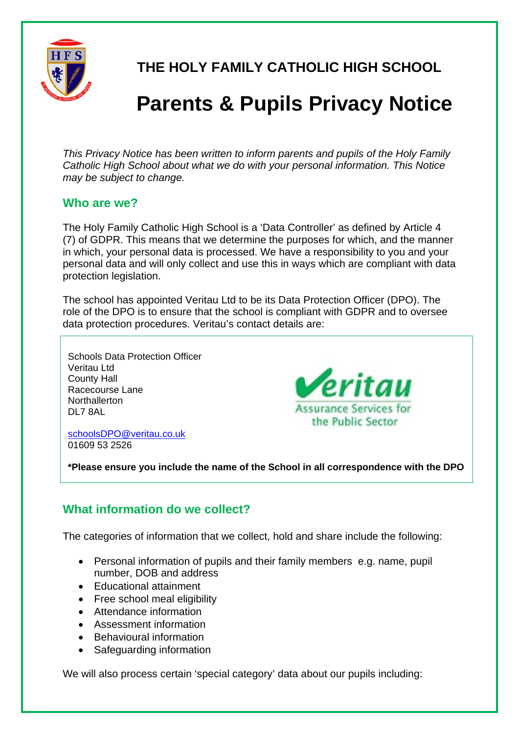

 **THE HOLY FAMILY CATHOLIC HIGH SCHOOL** 

# **Parents & Pupils Privacy Notice**

*This Privacy Notice has been written to inform parents and pupils of the Holy Family Catholic High School about what we do with your personal information. This Notice may be subject to change.* 

#### **Who are we?**

The Holy Family Catholic High School is a 'Data Controller' as defined by Article 4 (7) of GDPR. This means that we determine the purposes for which, and the manner in which, your personal data is processed. We have a responsibility to you and your personal data and will only collect and use this in ways which are compliant with data protection legislation.

The school has appointed Veritau Ltd to be its Data Protection Officer (DPO). The role of the DPO is to ensure that the school is compliant with GDPR and to oversee data protection procedures. Veritau's contact details are:

Schools Data Protection Officer Veritau Ltd County Hall Racecourse Lane **Northallerton** DL7 8AL



schoolsDPO@veritau.co.uk 01609 53 2526

**\*Please ensure you include the name of the School in all correspondence with the DPO** 

### **What information do we collect?**

The categories of information that we collect, hold and share include the following:

- Personal information of pupils and their family members e.g. name, pupil number, DOB and address
- Educational attainment
- Free school meal eligibility
- Attendance information
- Assessment information
- Behavioural information
- Safeguarding information

We will also process certain 'special category' data about our pupils including: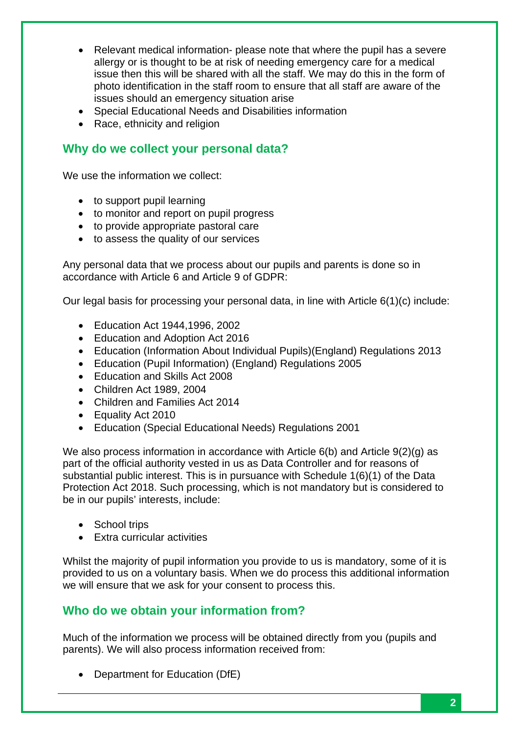- Relevant medical information- please note that where the pupil has a severe allergy or is thought to be at risk of needing emergency care for a medical issue then this will be shared with all the staff. We may do this in the form of photo identification in the staff room to ensure that all staff are aware of the issues should an emergency situation arise
- Special Educational Needs and Disabilities information
- Race, ethnicity and religion

#### **Why do we collect your personal data?**

We use the information we collect:

- to support pupil learning
- to monitor and report on pupil progress
- to provide appropriate pastoral care
- to assess the quality of our services

Any personal data that we process about our pupils and parents is done so in accordance with Article 6 and Article 9 of GDPR:

Our legal basis for processing your personal data, in line with Article 6(1)(c) include:

- Education Act 1944,1996, 2002
- Education and Adoption Act 2016
- Education (Information About Individual Pupils)(England) Regulations 2013
- Education (Pupil Information) (England) Regulations 2005
- Education and Skills Act 2008
- Children Act 1989, 2004
- Children and Families Act 2014
- Equality Act 2010
- Education (Special Educational Needs) Regulations 2001

We also process information in accordance with Article 6(b) and Article 9(2)(g) as part of the official authority vested in us as Data Controller and for reasons of substantial public interest. This is in pursuance with Schedule 1(6)(1) of the Data Protection Act 2018. Such processing, which is not mandatory but is considered to be in our pupils' interests, include:

- School trips
- Extra curricular activities

Whilst the majority of pupil information you provide to us is mandatory, some of it is provided to us on a voluntary basis. When we do process this additional information we will ensure that we ask for your consent to process this.

### **Who do we obtain your information from?**

Much of the information we process will be obtained directly from you (pupils and parents). We will also process information received from:

• Department for Education (DfE)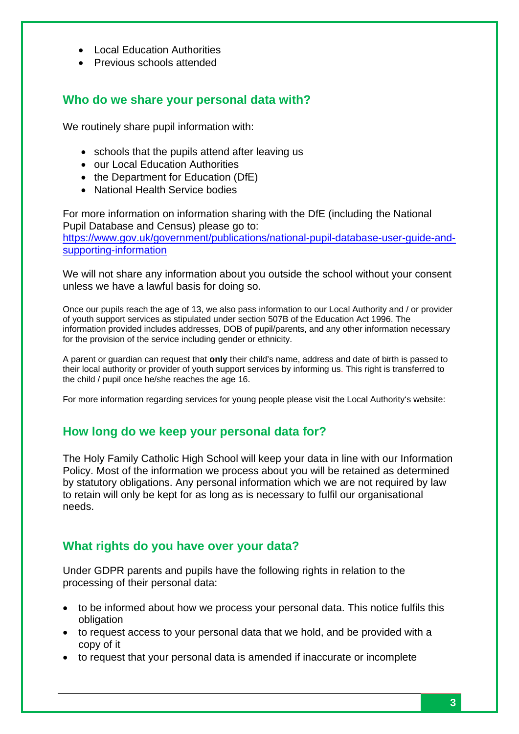- Local Education Authorities
- Previous schools attended

## **Who do we share your personal data with?**

We routinely share pupil information with:

- schools that the pupils attend after leaving us
- our Local Education Authorities
- the Department for Education (DfE)
- National Health Service bodies

For more information on information sharing with the DfE (including the National Pupil Database and Census) please go to: https://www.gov.uk/government/publications/national-pupil-database-user-guide-andsupporting-information

We will not share any information about you outside the school without your consent unless we have a lawful basis for doing so.

Once our pupils reach the age of 13, we also pass information to our Local Authority and / or provider of youth support services as stipulated under section 507B of the Education Act 1996. The information provided includes addresses, DOB of pupil/parents, and any other information necessary for the provision of the service including gender or ethnicity.

A parent or guardian can request that **only** their child's name, address and date of birth is passed to their local authority or provider of youth support services by informing us. This right is transferred to the child / pupil once he/she reaches the age 16.

For more information regarding services for young people please visit the Local Authority's website:

### **How long do we keep your personal data for?**

The Holy Family Catholic High School will keep your data in line with our Information Policy. Most of the information we process about you will be retained as determined by statutory obligations. Any personal information which we are not required by law to retain will only be kept for as long as is necessary to fulfil our organisational needs.

### **What rights do you have over your data?**

Under GDPR parents and pupils have the following rights in relation to the processing of their personal data:

- to be informed about how we process your personal data. This notice fulfils this obligation
- to request access to your personal data that we hold, and be provided with a copy of it
- to request that your personal data is amended if inaccurate or incomplete